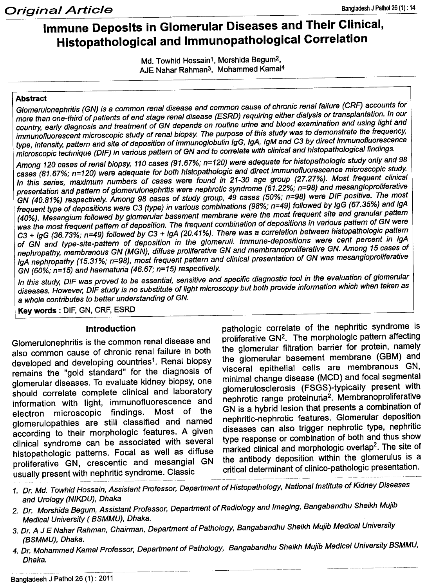# **Immune Deposits in Glomerular Diseases and Their Clinical, Histopathological and Immunopathological Correlation**

Md. Towhid Hossain<sup>1</sup>, Morshida Begum<sup>2</sup>, AJE Nahar Rahman3, Mohammed Kamal4

#### **Abstract**

*Glomerulonephritis (GN) is* a *common renal disease and common cause of chronic renal failure (CRF) accounts for* more than one-third of patients of end stage renal disease (ESRD) requiring either dialysis or transplantation. In our country, early diagnosis and treatment of GN depends on routine urine and blood examination and using light and *immunofluorescent microscopic study of renal biopsy. The purpose of this study was to demonstrate the frequency,* type, intensity, pattern and site of deposition of immunoglobulin IgG, IgA, IgM and C3 by direct immunofluorescence microscopic technique (DIF) in various pattern of GN and to correlate with clinical and histopathological findings.

Among 120 cases of renal biopsy, 110 cases (91.67%; n=120) were adequate for histopathologic study only and 98 *cases* (81.67%; *n=120) were adequate for both histopathologic and direct immunofluorescence microscopic study. In this series, maximum numbers of cases were found in 21-30 age group* (27.27%). *Most frequent clinical presentation and pattern of glomerulonephritis were nephrotic syndrome* (61.22%; *n=98) and mesangioproliferative GN (40.81%) respectively. Among* 98 *cases of study group,* 49 *cases (50%; n=98) were DIF positive. The most frequent type of depositions were* C3 *(type) in various combinations* (98%; *n=49) followed by IgG* (67.35%) *and IgA (40%). Mesangium followed by glomerular basement membrane were the most frequent site and granular pattern* was the most frequent pattern of deposition. The frequent combination of depositions in various pattern of GN were C3 + *IgG* (36.73%; *n=49) followed by* C3 + *IgA (20.41%). There was* a *correlation between histopathologic pattern of GN and type-site-pattern of deposition in the glomeruli. Immune-depositions were cent percent in IgA nephropathy, membranous GN (MGN), diffuse proliferative GN and membranoproliferative GN. Among* 15 *cases of IgA neph.ropathy* (15.31%; *n=98), most frequent pattern and clinical presentation of GN was mesangioproliferative GN (60%; n=15) and haematuria* (46.67; *n=15) respectively.*

In this study, DIF was proved to be essential, sensitive and specific diagnostic tool in the evaluation of glomerular diseases. However, DIF study is no substitute of light microscopy but both provide information which when taken as a *whole contributes to better understanding of GN.*

**Key words:** DIF, GN, CRF, ESRD

#### **Introduction**

Glomerulonephritis is the common renal disease and also common cause of chronic renal failure in both developed and developing countries<sup>1</sup>. Renal biopsy remains the "gold standard" for the diagnosis of glomerular diseases. To evaluate kidney biopsy, one should correlate complete clinical and laboratory information with light, immunofluorescence and electron microscopic findings. Most of the glomerulopathies are still classified and named according to their morphologic features. A given clinical syndrome can be associated with several histopathologic patterns. Focal as well as diffuse proliferative GN, crescentic and mesangial GN usually present with nephritic syndrome. Classic

pathologic correlate of the nephritic syndrome is proliferative GN2. The morphologic pattern affecting the glomerular filtration barrier for protein, namely the glomerular basement membrane (GBM) and visceral epithelial cells are membranous GN, minimal change disease (MCD) and focal segmental glomerulosclerosis (FSGS)-typically present with nephrotic range proteinuria<sup>2</sup>. Membranoproliferative GN is a hybrid lesion that presents a combination of nephritic-nephrotic features. Glomerular deposition diseases can also trigger nephrotic type, nephritic type response or combination of both and thus show marked clinical and morphologic overlap<sup>2</sup>. The site of the antibody deposition within the glomerulus is a critical determinant of clinico-pathologic presentation.

- *1. Dr. Md. Towhid Hossain, Assistant Professor, Department of Histopathology, National Institute of Kidney Diseases and Urology (NIKDU), Dhaka*
- *2. Dr. Morshida Begum, Assistant Professor, Department of Radiology and Imaging, Bangabandhu Sheikh Mujib Medical University ( BSMMU), Dhaka.*
- *3. Dr.* A *J E Nahar Rahman, Chairman, Department of Pathology, Bangabandhu Sheikh Mujib Medical University (BSMMU), Dhaka.*
- *4. Dr. Mohammed Kamal Professor, Department of Pathology, Bangabandhu Sheikh Mujib Medical University BSMMU, Dh. IVI*O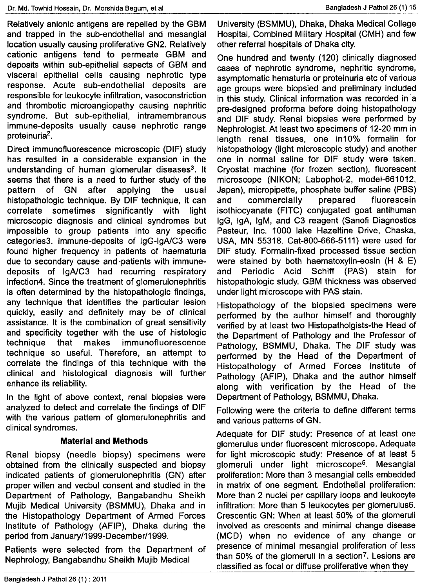Relatively anionic antigens are repelled by the GBM and trapped in the sub-endothelial and mesangial location usually causing proliferative GN2. Relatively cationic antigens tend to permeate GBM and deposits within sub-epithelial aspects of GBM and visceral epithelial cells causing nephrotic type response. Acute sub-endothelial deposits are responsible for leukocyte infiltration, vasoconstriction and thrombotic microangiopathy causing nephritic syndrome. But sub-epithelial, intramembranous immune-deposits usually cause nephrotic range proteinuria<sup>2</sup>.

Direct immunofluorescence microscopic (DIF) study has resulted in a considerable expansion in the understanding of human glomerular diseases<sup>3</sup>. It seems that there is a need to further study of the pattern of GN after applying the usual histopathologic technique. By DIF technique, it can correlate sometimes significantly with light microscopic diagnosis and clinical syndromes but impossible to group patients into any specific categories3. Immune-deposits of IgG-IgA/C3 were found higher frequency in patients of haematuria due to secondary cause and'patients with immunedeposits of IgA/C3 had recurring respiratory infection4. Since the treatment of glomerulonephritis is often determined by the histopathologic findings, any technique that identifies the particular lesion quickly, easily and definitely may be of clinical assistance. It is the combination of great sensitivity and specificity together with the use of histologic technique that makes immunofluorescence technique so useful. Therefore, an attempt to correlate the findings of this technique with the clinical and histological diagnosis will further enhance its reliability.

In the light of above context, renal biopsies were analyzed to detect and correlate the findings of DIF with the various pattern of glomerulonephritis and clinical syndromes.

# **Material and Methods**

Renal biopsy (needle biopsy) specimens were obtained from the clinically suspected and biopsy indicated patients of glomerulonephritis (GN) after proper willen and vecbul consent and studied in the Department of Pathology, Bangabandhu Sheikh Mujib Medical University (BSMMU), Dhaka and in the Histopathology Department of Armed Forces Institute of Pathology (AFIP), Dhaka during the period from January/1999-December/1999.

Patients were selected from the Department of Nephrology, Bangabandhu Sheikh Mujib Medical

University (BSMMU), Dhaka, Dhaka Medical College Hospital, Combined Military Hospital (CMH) and few other referral hospitals of Dhaka city.

One hundred and twenty (120) clinically diagnosed cases of nephrotic syndrome, nephritic syndrome, asymptomatic hematuria or proteinuria etc of various age groups were biopsied and preliminary included in this study. Clinical information was recorded in'a pre-designed proforma before doing histopathology and DIF study. Renal biopsies were performed by Nephrologist. At least two specimens of 12-20 mm in length renal tissues, one in10% formalin for histopathology (light microscopic study) and another one in normal saline for DIF study were taken. Cryostat machine (for frozen section), fluorescent microscope (NIKON; Labophot-2, model-661012, Japan), micropipette, phosphate buffer saline (PBS) and commercially prepared fluorescein isothiocyanate (FITC) conjugated goat antihuman IgG, IgA, IgM, and C3 reagent (Sanofi Diagnostics Pasteur, Inc. 1000 lake Hazeltine Drive, Chaska, USA, MN 55318. Cat-800-666-5111) were used for DIF study. Formalin-fixed processed tissue section were stained by both haematoxylin-eosin (H & E) and Periodic Acid Schiff (PAS) stain for histopathologic study. GBM thickness was observed under light microscope with PAS stain.

Histopathology of the biopsied specimens were performed by the author himself and thoroughly verified by at least two Histopatholgists-the Head of the Department of Pathology and the Professor of Pathology, BSMMU, Dhaka. The DIF study was performed by the Head of the Department of Histopathology of Armed Forces Institute of Pathology (AFIP), Dhaka and the author himself along with verification by the Head of the Department of Pathology, BSMMU, Dhaka.

Following were the criteria to define different terms and various patterns of GN.

Adequate for DIF study: Presence of at least one glomerulus under fluorescent microscope. Adequate for light microscopic study: Presence of at least 5 glomeruli under light microscope<sup>5</sup>. Mesangial proliferation: More than 3 mesangial cells embedded in matrix of one segment. Endothelial proliferation: More than 2 nuclei per capillary loops and leukocyte infiltration: More than 5 leukocytes per glomerulus6. Crescentic GN: When at least 50% of the glomeruli involved as crescents and minimal change disease (MCD) when no evidence of any change or presence of minimal mesangial proliferation of less than 50% of the glomeruli in a section<sup>7</sup>. Lesions are classified as focal or diffuse proliferative when they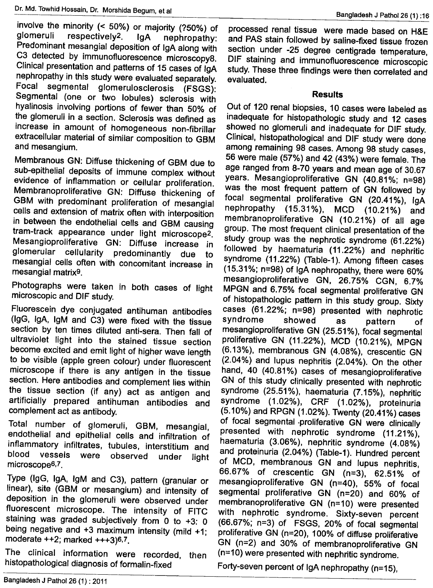involve the minority  $($  < 50%) or majority  $($ ?50%) of glomeruli respectively<sup>2</sup>. IgA nephropathy: Predominant mesangial deposition of IgA along with C3 detected by immunofluorescence microscopy8. Clinical presentation and patterns of 15 cases of IgA nephropathy in this study were evaluated separately. Focal segmental glomerulosclerosis (FSGS): Segmental (one or two lobules) sclerosis with hyalinosis involving portions of fewer than 50% of hyalinosis involving portions of fewer than 50% of the glomeruli in a section. Sclerosis was defined as increase in amount of homogeneous non-fibrillar extracellular material of similar composition to GBM and mesangium.

Membranous GN: Diffuse thickening of GBM due to sub-epithelial deposits of immune complex without evidence of inflammation or cellular proliferation. Membranoproliferative GN: Diffuse thickening of GBM with predominant proliferation of mesangial cells and extension of matrix often with interposition in between the endothelial cells and GBM causing tram-track appearance under light microscope2. Mesangioproliferative GN: Diffuse increase in<br>glomerular cellularity predominantly due to liomerular cellularity predominantly due to mesangial cells often with concomitant increase in mesangial matrix9.

Photographs were taken in both cases of light microscopic and DIF study.

Fluorescein dye conjugated antihuman antibodies (lgG, IgA, IgM and C3) were fixed with the tissue section by ten times diluted anti-sera. Then fall of ultraviolet light into the stained tissue section become excited and emit light of higher wave length to be visible (apple green colour) under fluorescent microscope if there is any antigen in the tissue section. Here antibodies and complement lies within the tissue section (if any) act as antigen and artificially prepared antihuman antibodies and complement act as antibody.

Total number of glomeruli, GBM, mesangial, endothelial and epithelial cells and infiltration of inflammatory infiltrates, tubules, interstitium and blood vessels were observed under light microscope6,7.

Type (lgG, IgA, IgM and C3), pattern (granular or linear), site (GBM or mesangium) and intensity of deposition in the glomeruli were observed under fluorescent microscope. The intensity of FITC staining was graded subjectively from 0 to  $+3$ : 0 being negative and +3 maximum intensity (mild +1; moderate ++2; marked +++3)6.7.

The clinical information were recorded, then histopathological diagnosis of formalin-fixed

processed renal tissue were made based on H&E and PAS stain followed by saline-fixed tissue frozen section under -25 degree centigrade temperature, DIF staining and immunofluorescence microscopic study. These three findings were then correlated and evaluated.

#### **Results**

Out of 120 renal biopsies, 10 cases were labeled as inadequate for histopathologic study and 12 cases showed no glomeruli and inadequate for DIF study. Clinical, histopathological and DIF study were done among remaining 98 cases. Among 98 study cases, 56 were male (57%) and 42 (43%) were female. The age ranged from 8-70 years and mean age of 30.67 years. Mesangioproliferative GN (40.81%; n=98) was the most frequent pattern of GN followed by focal segmental proliferative GN (20.41%), IgA nephropathy (15.31%), MCD (10.21%) and membranoproliferative GN (10.21%) of all age group. The most frequent clinical presentation of the study group was the nephrotic syndrome (61.22%) followed by haematuria (11.22%) and nephritic syndrome (11.22%) (Table-1). Among fifteen cases (15.31%; n=98) of IgA nephropathy, there were 60% mesangioproliferative GN, 26.75% CGN, 6.7% MPGN and 6.75% focal segmental proliferative GN of histopathologic pattern in this study group. Sixty cases (61.22%; n=98) presented with nephrotic syndrome showed as pattern of mesangioproliferative GN (25.51%), focal segmental proliferative GN (11.22%), MCD (10.21%), MPGN (6.13%), membranous GN (4.08%), crescentic GN (2.04%) and lupus nephritis (2.04%). On the other hand, 40 (40.81%) cases of mesangioproliferative GN of this study clinically presented with nephrotic syndrome (25.51%), haematuria (7.15%), nephritic syndrome (1.02%), CRF (1.02%), proteinuria (5.10%) and RPGN (1.02%). Twenty (20.41%) cases of focal segmental ·proliferative GN were clinically presented with nephrotic syndrome (11.21%), haematuria (3.06%), nephritic syndrome (4.08%) and proteinuria (2.04%) (Table-1). Hundred percent of MCD, membranous GN and lupus nephritis, 66.67% of crescentic GN (n=3), 62.51% of mesangioproliferative GN (n=40), 55% of focal segmental proliferative GN (n=20) and 60% of membranoproliferative GN (n=10) were presented with nephrotic syndrome. Sixty-seven percent (66.67%; n=3) of FSGS, 20% of focal segmental proliferative GN (n=20), 100% of diffuse proliferative GN (n=2) and 30% of membranoproliferative GN (n=10) were presented with nephritic syndrome.

Forty-seven percent of IgA nephropathy (n=15),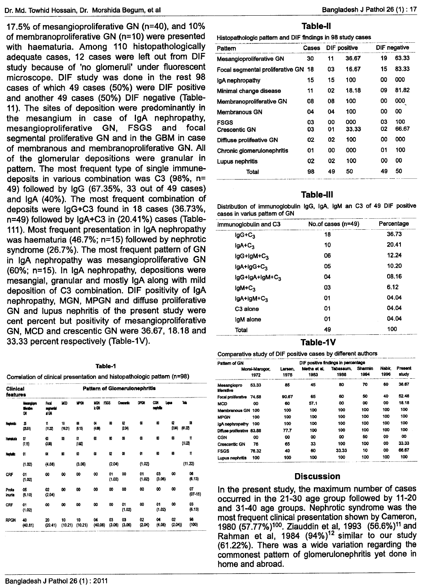17.5% of mesangioproliferative GN (n=40), and 10% of membranoproliferative GN (n=10) were presented with haematuria. Among 110 histopathologically adequate cases, 12 cases were left out from DIF study because of 'no glomeruli' under fluorescent microscope. DIF study was done in the rest 98 cases of which 49 cases (50%) were DIF positive and another 49 cases (50%) DIF negative (Table-11). The sites of deposition were predominantly in the mesangium in case of IgA nephropathy, mesangioproliferative GN, FSGS and focal segmental proliferative GN and in the GBM in case of membranous and membranoproliferative GN. All of the glomerular depositions were granular in pattern. The most frequent type of single immunedeposits in various combination was C3 (98%, n= 49) followed by IgG (67.35%, 33 out of 49 cases) and IgA (40%). The most frequent combination of deposits were IgG+C3 found in 18 cases (36.73%, n=49) followed by IgA+C3 in (20.41%) cases (Table-111). Most frequent presentation in IgA nephropathy was haematuria (46.7%; n=15) followed by nephrotic syndrome (26.7%). The most frequent pattern of GN in IgA nephropathy was mesangioproliferative GN (60%; n=15). In IgA nephropathy, depositions were mesangial, granular and mostly IgA along with mild deposition of C3 combination. DIF positivity of IgA nephropathy, MGN, MPGN and diffuse proliferative GN and lUpus nephritis of the present study were cent percent but positivity of mesangioproliferative GN, MCD and crescentic GN were 36.67,18.18 and 33.33 percent respectively (Table-1V).

| 1<br>ы<br>- |  |
|-------------|--|
|             |  |

Correlationofclinicalpresentationadhistopathologic pattem(n=98) ----\_ ..\_-----\_ ..\_..-.\_---~---\_. \_\_ .\_--~--

| <b>Pattern of Glomerulonephritis</b><br>Clinical<br>features |                                |                                        |                       |                       |                  |                  |                  |              |              |              |                 |
|--------------------------------------------------------------|--------------------------------|----------------------------------------|-----------------------|-----------------------|------------------|------------------|------------------|--------------|--------------|--------------|-----------------|
|                                                              | Meangroot<br><b>Huthe</b><br>œ | Focal<br>secretarial<br>$\blacksquare$ | WO <sub>1</sub>       | WOI                   | MCN<br>i: GN     | FSGS             | <b>Createric</b> | DPCN         | CON<br>nomik | Lupus        | Tota            |
| Neohodic                                                     | z<br>(25.51)                   | Ħ<br>(11.22)                           | 10<br>(10.21)         | 06<br>(6.13)          | O.<br>(4.03)     | œ                | 62<br>(2.04)     | 仙            | œ            | 92<br>(2.04) | œ<br>(61.22)    |
| Hensburg                                                     | O7<br>(7.15)                   | œ<br>(3.06)                            | w                     | O1<br>(1.02)          | $\boldsymbol{0}$ | $\boldsymbol{0}$ | 00               | œ            | œ            | œ            | Ħ<br>(11.22)    |
| Nachdin                                                      | 01                             | O.                                     | œ                     | ø                     | 60               | œ                | œ                | ĝ1           | 00           | O,           | Ħ               |
|                                                              | (1.02)                         | (4.08)                                 |                       | (3.06)                |                  | (2.04)           |                  | (1.02)       |              |              | (11.22)         |
| <b>CRF</b>                                                   | 01<br>(1.02)                   | 00                                     | $\boldsymbol{\omega}$ | $\boldsymbol{\omega}$ | 00               | 01<br>(1.02)     | 00               | 01<br>(1.02) | 03<br>(3.06) | 00           | œ<br>(6.13)     |
| Prote<br>krunia                                              | 05<br>(5.10)                   | O2<br>(2.04)                           | 00                    | 00                    | 00               | 00               | 50               | 00           | 00           | 8            | 07<br>$(07-15)$ |
| CRF                                                          | 01<br>(1.02)                   | 00                                     | 00                    | 00                    | 00               | 00               | 01<br>(1.02)     | 00           | 01<br>(1.02) | 00           | 03<br>(6.13)    |
| <b>RPGN</b>                                                  | 40<br>(40.81)                  | 20<br>(20.41)                          | 10<br>(10.21)         | 10<br>(10.21)         | 04<br>(40.08)    | 03<br>(3.06)     | 03<br>(3.06)     | 02<br>(2.04) | 04<br>(4.08) | 02<br>(2.04) | 98<br>(100)     |

# **Table-II**

| Histopathologic pattern and DIF findings in 98 study cases |          |              |              |              |              |  |
|------------------------------------------------------------|----------|--------------|--------------|--------------|--------------|--|
| Pattern                                                    | Cases    | DIF positive |              | DIF negative |              |  |
| Mesangioproliferative GN                                   | 30       | 11           | 36.67        | 19           | 63.33        |  |
| Focal segmental proliferative GN                           | 18       | 03           | 16.67        | 15           | 83.33        |  |
| lgA nephropathy                                            | 15       | 15           | 100          | 00           | 000          |  |
| Minimal change disease                                     | 11       | 02           | 18.18        | 09           | 81.82        |  |
| Membranoproliferative GN                                   | 08       | 08           | 100          | 00           | 000          |  |
| <b>Membranous GN</b>                                       | 04       | 04           | 100          | 00           | 00           |  |
| <b>FSGS</b><br>Crescentic GN                               | 03<br>03 | 00<br>01     | 000<br>33.33 | 03<br>02     | 100<br>66.67 |  |
| Diffiuse prolifeative GN                                   | 02       | 02           | 100          | 00           | 000          |  |
| Chronic glomerulonephritis                                 | 01       | 00           | 000          | 01           | 100          |  |
| Lupus nephritis                                            | 02       | 02           | 100          | 00           | 00           |  |
| Total                                                      | 98       | 49           | 50           | 49           | 50           |  |
|                                                            |          |              |              |              |              |  |

## **Table-III**

Distribution of immunoglobulin IgG, IgA, IgM an C3 of 49 DIF positive

| Immunoglobulin and C3 | No.of cases (n=49) | Percentage |  |
|-----------------------|--------------------|------------|--|
| $lgG + C_3$           | 18                 | 36.73      |  |
| $IgA+C3$              | 10                 | 20.41      |  |
| $lgG+lgM+C_3$         | 06                 | 12.24      |  |
| IgA+IgG+C3            | 05                 | 10.20      |  |
| IgG+IgA+IgM+C3        | 04                 | 08.16      |  |
| $IgM+C3$              | 03                 | 6.12       |  |
| $lgA+lgM+C_3$         | 01                 | 04.04      |  |
| C3 alone              | 01                 | 04.04      |  |
| igM alone             | 01                 | 04.04      |  |
| Total                 | 49                 | 100        |  |

#### Table-1V

Comparative study of DIF positive cases by different authors

| Pattern of GN               |                        | DIF positive findings in percentage |                      |                   |                 |                |                  |
|-----------------------------|------------------------|-------------------------------------|----------------------|-------------------|-----------------|----------------|------------------|
|                             | Morel-Marogor.<br>1972 | Larsen.<br>1978                     | Metha et al.<br>1983 | Tabassum.<br>1988 | Sharmin<br>1994 | Nabir.<br>1996 | Present<br>study |
| Mesangiopro<br>liferative   | 53.33                  | 85                                  | 45                   | 80                | 70              | 60             | 36.67            |
| Focal proliferative 74.58   |                        | 90.67                               | 65                   | 60                | 50              | 40             | 52.48            |
| <b>MCD</b>                  | 00                     | 60                                  | 57.1                 | œ                 | 00              | 00             | 18.18            |
| Membranous GN 100           |                        | 100                                 | 100                  | 100               | 100             | 100            | 100              |
| <b>MPGN</b>                 | 100                    | 100                                 | 100                  | 100               | 100             | 100            | 100              |
| IgA nephropathy 100         |                        | 100                                 | 100                  | 100               | 100             | 100            | 100              |
| Diffuse proliferative 83.88 |                        | 77.7                                | 100                  | 100               | 100             | 100            | 100              |
| CGN                         | oo                     | 00                                  | 00                   | œ                 | 50              | 00             | 00               |
| <b>Crescentic GN</b>        | 76                     | 65                                  | 33                   | 100               | 100             | 00             | 33.33            |
| <b>FSGS</b>                 | 76.32                  | 40                                  | 60                   | 33.33             | 10              | œ              | 66.67            |
| Lupus nephritis             | 100                    | 100                                 | 100                  | 100               | 100             | 100            | 100              |

#### **Discussion**

In the present study, the maximum number of cases occurred in the 21-30 age group followed by 11-20 and 31-40 age groups. Nephrotic syndrome was the most frequent clinical presentation shown by Cameron, 1980 (57.77%)<sup>100</sup>. Ziauddin et al, 1993 (56.6%)<sup>11</sup> and Rahman et al, 1984 (94%)<sup>12</sup> similar to our study (61.22%). There was a wide variation regarding the commonest pattern of glomerulonephritis yet done in home and abroad.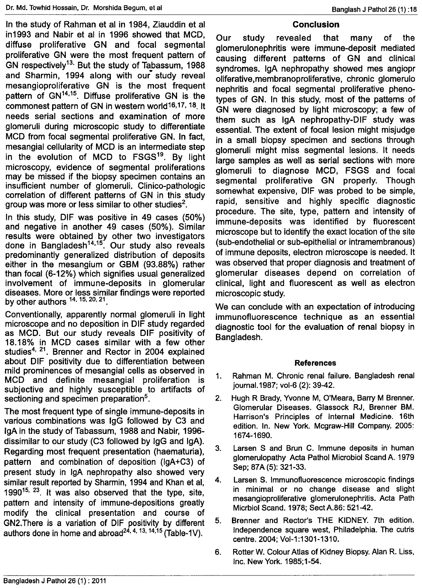In the study of Rahman et al in 1984, Ziauddin et al in1993 and Nabir et al in 1996 showed that MCD, diffuse proliferative GN and focal segmental proliferative GN were the most frequent pattern of GN respectively<sup>13.</sup> But the study of Tabassum, 1988 and Sharmin, 1994 along with our study reveal mesangioproliferative GN is the most frequent pattern of GN<sup>14,15</sup>. Diffuse proliferative GN is the commonest pattern of GN in western world16,17, 18, It needs serial sections and examination of more glomeruli during microscopic study to differentiate MCD from focal segmental proliferative GN. In fact, mesangial cellularity of MCD is an intermediate step in the evolution of MCD to FSGS<sup>19</sup>. By light microscopy, evidence of segmental proliferations may be missed if the biopsy specimen contains an insufficient number of glomeruli. Clinico-pathologic correlation of different patterns of GN in this study group was more or less similar to other studies $^2$ .

In this study, DIF was positive in 49 cases (50%) and negative in another 49 cases (50%). Similar results were obtained by other two investigators done in Bangladesh<sup>14,15</sup>. Our study also reveals predominantly generalized distribution of deposits either in the mesangium or GBM (93.88%) rather than focal (6-12%) which signifies usual generalized involvement of immune-deposits in glomerular diseases. More or less similar findings were reported by other authors <sup>14, 15, 20, 21</sup>

Conventionally, apparently normal glomeruli in light microscope and no deposition in DIF study regarded as MCD. But our study reveals DIF positivity of 18.18% in MCD cases similar with a few other studies<sup>4, 21</sup>. Brenner and Rector in 2004 explained about DIF positivity due to differentiation between mild prominences of mesangial cells as observed in MCD and definite mesangial proliferation is subjective and highly susceptible to artifacts of sectioning and specimen preparation<sup>5</sup>.

The most frequent type of single immune-deposits in various combinations was IgG followed by C3 and IgA in the study of Tabassum, 1988 and Nabir, 1996 dissimilar to our study (C3 followed by IgG and IgA). Regarding most frequent presentation (haematuria), pattern and combination of deposition (lgA+C3) of present study in IgA nephropathy also showed very similar result reported by Sharmin, 1994 and Khan et al, 1990<sup>15, 23</sup>. It was also observed that the type, site, pattern and intensity of immune-depositions greatly modify the clinical presentation and course of GN2. There is a variation of DIF positivity by different authors done in home and abroad<sup>24, 4, 13, 14, 15</sup> (Table-1V).

# **Conclusion**

Our study revealed that many of the glomerulonephritis were immune-deposit mediated causing different patterns of GN and clinical syndromes. IgA nephropathy showed mes angiopr oliferative,membranoproliferative, chronic glomerulo nephritis and focal segmental proliferative phenotypes of GN. In this study, most of the patterns of GN were diagnosed by light microscopy; a few of them such as IgA nephropathy-DIF study was essential. The extent of focal lesion might misjudge in a small biopsy specimen and sections through glomeruli might miss segmental lesions. It needs large samples as well as serial sections with more glomeruli to diagnose MCD, FSGS and focal segmental proliferative GN properly. Though somewhat expensive, DIF was probed to be simple, rapid, sensitive and highly specific diagnostic procedure. The site, type, pattern and intensity of immune-deposits was identified by fluorescent microscope but to identify the exact location of the site (sub-endothelial or sub-epithelial or intramembranous) of immune deposits, electron microscope is needed. It was observed that proper diagnosis and treatment of glomerular diseases depend on correlation of clinical, light and fluorescent as well as electron microscopic study.

We can conclude with an expectation of introducing immunofluorescence technique as an essential diagnostic tool for the evaluation of renal biopsy in Bangladesh.

## References

- 1. Rahman M. Chronic renal failure. Bangladesh renal journal. 1987; vol-6 (2): 39-42.
- 2. Hugh R Brady, Yvonne M, O'Meara, Barry M Brenner. Glomerular Diseases. Glassock RJ, Brenner BM. Harrison's Principles of Internal Medicine. 16th edition. In. New York. Mcgraw-Hill Company. 2005: 1674-1690.
- 3. Larsen S and Brun C. Immune deposits in human glomerulopathy Acta Pathol Microbiol Scand A. 1979 Sep; 87A (5): 321-33.
- 4. Larsen S. Immunofluorescence microscopic findings in minimal or no change disease and slight mesangioproliferative glomerulonephritis. Acta Path Micrbiol Scand. 1978; SectA.86: 521-42.
- 5. Brenner and Rector's THE KIDNEY. 7th edition. Independence square west, Philadelphia. The cutris centre. 2004; Vol-1:1301-1310.
- 6. Rotter W. Colour Atlas of Kidney Biopsy.Alan R. Liss, Inc. New York. 1985;1-54.